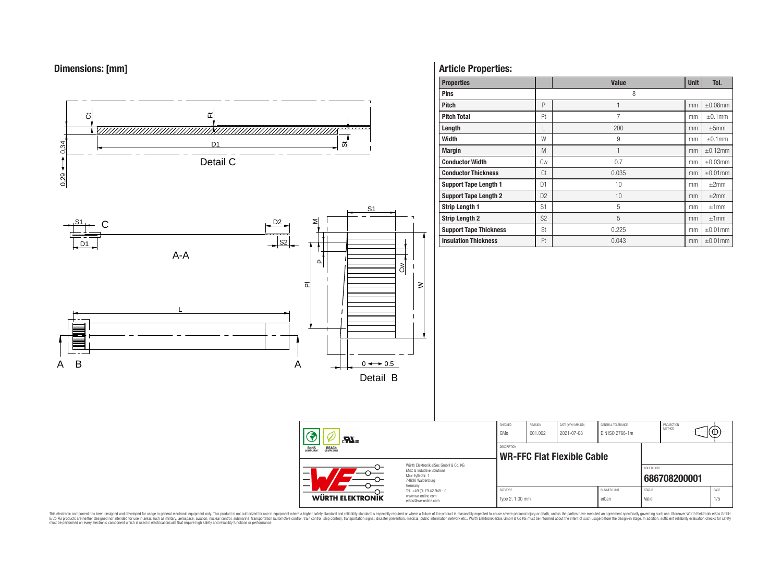# **Dimensions: [mm]**



## **Article Properties:**

| <b>Properties</b>             |                | <b>Value</b> | <b>Unit</b> | Tol.          |
|-------------------------------|----------------|--------------|-------------|---------------|
| <b>Pins</b>                   |                | 8            |             |               |
| <b>Pitch</b>                  | P              |              | mm          | $\pm 0.08$ mm |
| <b>Pitch Total</b>            | Pt             | 7            | mm          | $\pm 0.1$ mm  |
| Length                        |                | 200          | mm          | $\pm 5$ mm    |
| <b>Width</b>                  | W              | 9            | mm          | $\pm 0.1$ mm  |
| <b>Margin</b>                 | M              | 1            | mm          | $\pm 0.12$ mm |
| <b>Conductor Width</b>        | Cw             | 0.7          | mm          | $\pm 0.03$ mm |
| <b>Conductor Thickness</b>    | Ct             | 0.035        | mm          | $\pm 0.01$ mm |
| <b>Support Tape Length 1</b>  | D <sub>1</sub> | 10           | mm          | $\pm 2$ mm    |
| <b>Support Tape Length 2</b>  | D <sub>2</sub> | 10           | mm          | ±2mm          |
| <b>Strip Length 1</b>         | S <sub>1</sub> | 5            | mm          | ±1mm          |
| <b>Strip Length 2</b>         | S <sub>2</sub> | 5            | mm          | ±1mm          |
| <b>Support Tape Thickness</b> | St             | 0.225        | mm          | $\pm 0.01$ mm |
| <b>Insulation Thickness</b>   | Ft             | 0.043        | mm          | $\pm 0.01$ mm |

PROJECTION<br>METHOD

⊕

**[686708200001](https://www.we-online.com/catalog/en/article/686708200001)**

ORDER CODE

This electronic component has been designed and developed for usage in general electronic equipment only. This product is not authorized for subserved requipment where a higher selection equipment where a higher selection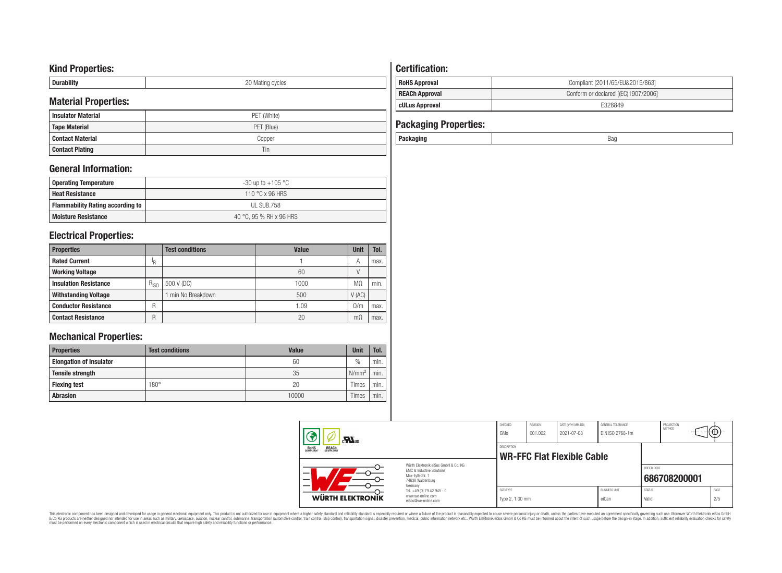## **Kind Properties:**

| <b>Duruping</b> | ററ<br>20 Mating cycles |
|-----------------|------------------------|

# **Material Properties:**

| IVIALEITAI PTODEITIES. |             |  | <b>cULus Approval</b>        | E328849 |
|------------------------|-------------|--|------------------------------|---------|
| l Insulator Material   | PET (White) |  |                              |         |
| Tape Material          | PET (Blue)  |  | <b>Packaging Properties:</b> |         |
| l Contact Material     | Copper      |  | Packaging                    | Bag     |
| <b>Contact Plating</b> | 1 in        |  |                              |         |

## **General Information:**

| Operating Temperature                   | -30 up to +105 $^{\circ}$ C |
|-----------------------------------------|-----------------------------|
| <b>Heat Resistance</b>                  | 110 °C x 96 HRS             |
| <b>Flammability Rating according to</b> | UL SUB.758                  |
| <b>Moisture Resistance</b>              | 40 °C, 95 % RH x 96 HRS     |

## **Electrical Properties:**

| <b>Properties</b>            |           | <b>Test conditions</b> | <b>Value</b> | Unit      | Tol. |
|------------------------------|-----------|------------------------|--------------|-----------|------|
| <b>Rated Current</b>         | ΙR        |                        |              | A         | max. |
| <b>Working Voltage</b>       |           |                        | 60           |           |      |
| <b>Insulation Resistance</b> | $R_{ISO}$ | 500 V (DC)             | 1000         | MΩ        | min. |
| <b>Withstanding Voltage</b>  |           | min No Breakdown       | 500          | V(AC)     |      |
| <b>Conductor Resistance</b>  | R         |                        | 1.09         | 0/m       | max. |
| <b>Contact Resistance</b>    | R         |                        | 20           | $m\Omega$ | max. |

# **Mechanical Properties:**

| <b>Properties</b>              | <b>Test conditions</b> | <b>Value</b> | <b>Unit</b>       | Tol.   |
|--------------------------------|------------------------|--------------|-------------------|--------|
| <b>Elongation of Insulator</b> |                        | 60           | $\frac{0}{0}$     | min.   |
| <b>Tensile strength</b>        |                        | 35           | N/mm <sup>2</sup> | min.   |
| <b>Flexing test</b>            | $180^\circ$            | 20           | Times             | ` min. |
| <b>Abrasion</b>                |                        | 10000        | Times             | min.   |

# **Certification: RoHS Approval RoHS Approval Compliant** [2011/65/EU&2015/863] **REACh Approval REACh Approval Conform or declared [(EC)1907/2006]**

# **Packaging Properties:**<br>Packaging

| Packaging | sar |
|-----------|-----|
|           |     |

| $\mathbf{M}$ <sub>us</sub><br><b>REACH</b><br>COMPLIANT<br><b>ROHS</b><br>COMPLIANT                      |                                                                                   | CHECKED<br>GMo                            | REVISION<br>001.002 | DATE (YYYY-MM-DD)<br>2021-07-08 | GENERAL TOLERANCE<br>DIN ISO 2768-1m |                        | PROJECTION<br>METHOD | tΨ.         |
|----------------------------------------------------------------------------------------------------------|-----------------------------------------------------------------------------------|-------------------------------------------|---------------------|---------------------------------|--------------------------------------|------------------------|----------------------|-------------|
|                                                                                                          |                                                                                   | DESCRIPTION<br>WR-FFC Flat Flexible Cable |                     |                                 |                                      |                        |                      |             |
| Würth Flektronik eiSos GmbH & Co. KG<br>EMC & Inductive Solutions<br>Max-Evth-Str. 1<br>74638 Waldenburg |                                                                                   |                                           |                     |                                 |                                      | ORDER CODE             | 686708200001         |             |
| <b>WÜRTH ELEKTRONIK</b>                                                                                  | Germany<br>Tel. +49 (0) 79 42 945 - 0<br>www.we-online.com<br>eiSos@we-online.com | SIZE/TYPE<br>Type 2, 1.00 mm              |                     |                                 | <b>BLISINESS LINIT</b><br>eiCan      | <b>STATUS</b><br>Valid |                      | PAGE<br>2/5 |

This electronic component has been designed and developed for usage in general electronic equipment only. This product is not authorized for subserved requipment where a higher selection equipment where a higher selection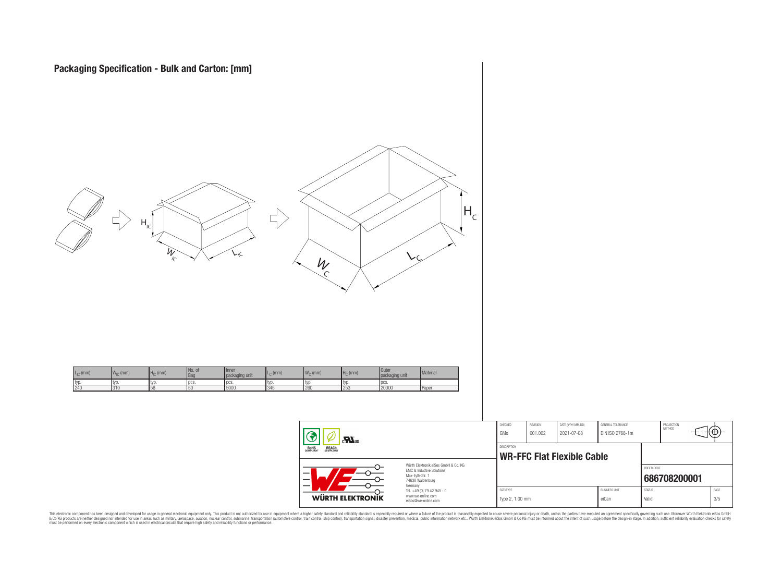

| ᢕ<br>74638 Waldenburg<br>Germany<br>Tel. +49 (0) 79 42 945 - 0<br>᠊ᡐ<br>www.we-online.com<br>JІK |                                                                                      | SIZE/TYPE<br>Type 2, 1.00 mm |                            |                                   | <b>BUSINESS UNIT</b><br>eiCan        | <b>STATUS</b><br>Valid |                      | PAGE<br>3/5 |  |
|--------------------------------------------------------------------------------------------------|--------------------------------------------------------------------------------------|------------------------------|----------------------------|-----------------------------------|--------------------------------------|------------------------|----------------------|-------------|--|
| ᠊ᡐ<br>--                                                                                         | Würth Elektronik eiSos GmbH & Co. KG<br>FMC & Inductive Solutions<br>Max-Evth-Str. 1 |                              |                            | <b>WR-FFC Flat Flexible Cable</b> |                                      | ORDER CODE             | 686708200001         |             |  |
|                                                                                                  |                                                                                      | <b>DESCRIPTION</b>           |                            |                                   |                                      |                        |                      |             |  |
|                                                                                                  |                                                                                      | CHECKED<br>GMo               | <b>REVISION</b><br>001.002 | DATE (YYYY-MM-DD)<br>2021-07-08   | GENERAL TOLERANCE<br>DIN ISO 2768-1m |                        | PROJECTION<br>METHOD | ₩           |  |

This electronic component has been designed and developed for usage in general electronic equipment only. This product is not authorized for subserved requipment where a higher selection equipment where a higher selection

**WÜRTH ELEKTROI**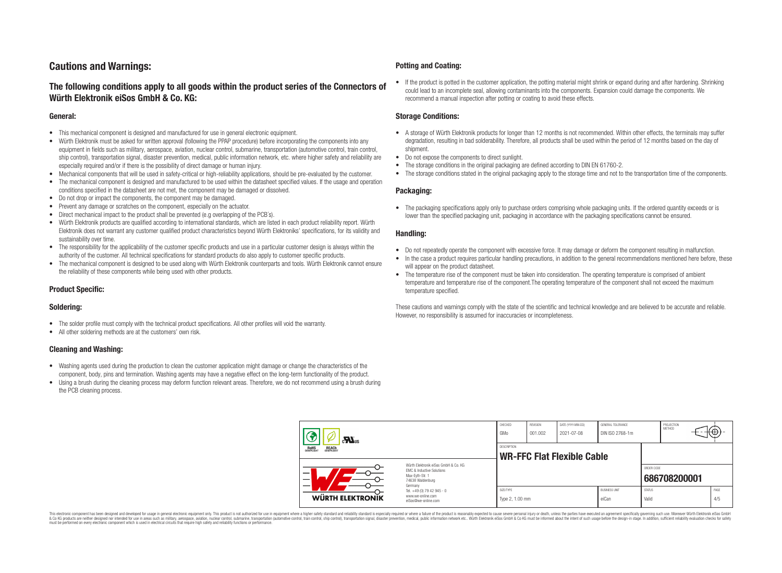## **Cautions and Warnings:**

## **The following conditions apply to all goods within the product series of the Connectors of Würth Elektronik eiSos GmbH & Co. KG:**

#### **General:**

- This mechanical component is designed and manufactured for use in general electronic equipment.
- Würth Elektronik must be asked for written approval (following the PPAP procedure) before incorporating the components into any equipment in fields such as military, aerospace, aviation, nuclear control, submarine, transportation (automotive control, train control, ship control), transportation signal, disaster prevention, medical, public information network, etc. where higher safety and reliability are especially required and/or if there is the possibility of direct damage or human injury.
- Mechanical components that will be used in safety-critical or high-reliability applications, should be pre-evaluated by the customer.
- The mechanical component is designed and manufactured to be used within the datasheet specified values. If the usage and operation conditions specified in the datasheet are not met, the component may be damaged or dissolved.
- Do not drop or impact the components, the component may be damaged.
- Prevent any damage or scratches on the component, especially on the actuator.
- Direct mechanical impact to the product shall be prevented (e.g overlapping of the PCB's).
- Würth Elektronik products are qualified according to international standards, which are listed in each product reliability report. Würth Elektronik does not warrant any customer qualified product characteristics beyond Würth Elektroniks' specifications, for its validity and sustainability over time.
- The responsibility for the applicability of the customer specific products and use in a particular customer design is always within the authority of the customer. All technical specifications for standard products do also apply to customer specific products.
- The mechanical component is designed to be used along with Würth Elektronik counterparts and tools. Würth Elektronik cannot ensure the reliability of these components while being used with other products.

#### **Product Specific:**

#### **Soldering:**

- The solder profile must comply with the technical product specifications. All other profiles will void the warranty.
- All other soldering methods are at the customers' own risk.

#### **Cleaning and Washing:**

- Washing agents used during the production to clean the customer application might damage or change the characteristics of the component, body, pins and termination. Washing agents may have a negative effect on the long-term functionality of the product.
- Using a brush during the cleaning process may deform function relevant areas. Therefore, we do not recommend using a brush during the PCB cleaning process.

#### **Potting and Coating:**

• If the product is potted in the customer application, the potting material might shrink or expand during and after hardening. Shrinking could lead to an incomplete seal, allowing contaminants into the components. Expansion could damage the components. We recommend a manual inspection after potting or coating to avoid these effects.

#### **Storage Conditions:**

- A storage of Würth Elektronik products for longer than 12 months is not recommended. Within other effects, the terminals may suffer degradation, resulting in bad solderability. Therefore, all products shall be used within the period of 12 months based on the day of shipment.
- Do not expose the components to direct sunlight.
- The storage conditions in the original packaging are defined according to DIN EN 61760-2.
- The storage conditions stated in the original packaging apply to the storage time and not to the transportation time of the components.

#### **Packaging:**

• The packaging specifications apply only to purchase orders comprising whole packaging units. If the ordered quantity exceeds or is lower than the specified packaging unit, packaging in accordance with the packaging specifications cannot be ensured.

#### **Handling:**

- Do not repeatedly operate the component with excessive force. It may damage or deform the component resulting in malfunction.
- In the case a product requires particular handling precautions, in addition to the general recommendations mentioned here before, these will appear on the product datasheet
- The temperature rise of the component must be taken into consideration. The operating temperature is comprised of ambient temperature and temperature rise of the component.The operating temperature of the component shall not exceed the maximum temperature specified.

These cautions and warnings comply with the state of the scientific and technical knowledge and are believed to be accurate and reliable. However, no responsibility is assumed for inaccuracies or incompleteness.

| $\mathbf{r}$<br>ROHS<br>COMPLIANT<br><b>REACH</b><br>COMPLIANT                                                |                                                                                   | CHECKED<br>GMo                                          | <b>REVISION</b><br>001.002 | DATE (YYYY-MM-DD)<br>2021-07-08 | GENERAL TOLERANCE<br>DIN ISO 2768-1m |                        | PROJECTION<br>METHOD | ₩ |             |
|---------------------------------------------------------------------------------------------------------------|-----------------------------------------------------------------------------------|---------------------------------------------------------|----------------------------|---------------------------------|--------------------------------------|------------------------|----------------------|---|-------------|
|                                                                                                               |                                                                                   | <b>DESCRIPTION</b><br><b>WR-FFC Flat Flexible Cable</b> |                            |                                 |                                      |                        |                      |   |             |
| Würth Elektronik eiSos GmbH & Co. KG<br>EMC & Inductive Solutions<br>–<br>Max-Eyth-Str. 1<br>74638 Waldenburg |                                                                                   |                                                         |                            |                                 |                                      | ORDER CODE             | 686708200001         |   |             |
| <b>WÜRTH ELEKTRONIK</b>                                                                                       | Germany<br>Tel. +49 (0) 79 42 945 - 0<br>www.we-online.com<br>eiSos@we-online.com | SIZE/TYPE<br>Type 2, 1.00 mm                            |                            |                                 | <b>BUSINESS UNIT</b><br>eiCan        | <b>STATUS</b><br>Valid |                      |   | PAGE<br>4/5 |

This electronic component has been designed and developed for usage in general electronic equipment only. This product is not authorized for use in equipment where a higher safety standard and reliability standard si espec & Ook product a label and the membed of the seasuch as marked and as which such a membed and the such assume that income in the seasuch and the simulation and the such assume that include to the such a membed and the such